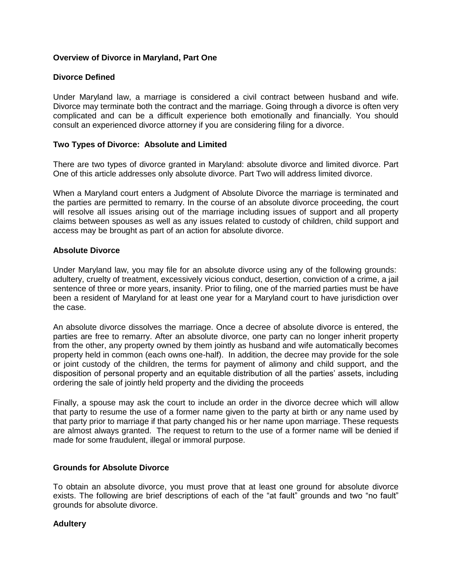# **Overview of Divorce in Maryland, Part One**

# **Divorce Defined**

Under Maryland law, a marriage is considered a civil contract between husband and wife. Divorce may terminate both the contract and the marriage. Going through a divorce is often very complicated and can be a difficult experience both emotionally and financially. You should consult an experienced divorce attorney if you are considering filing for a divorce.

# **Two Types of Divorce: Absolute and Limited**

There are two types of divorce granted in Maryland: absolute divorce and limited divorce. Part One of this article addresses only absolute divorce. Part Two will address limited divorce.

When a Maryland court enters a Judgment of Absolute Divorce the marriage is terminated and the parties are permitted to remarry. In the course of an absolute divorce proceeding, the court will resolve all issues arising out of the marriage including issues of support and all property claims between spouses as well as any issues related to custody of children, child support and access may be brought as part of an action for absolute divorce.

#### **Absolute Divorce**

Under Maryland law, you may file for an absolute divorce using any of the following grounds: [adultery,](http://www.peoples-law.org/family/divorce/choosing%20grounds.htm#Adultery) [cruelty of treatment,](http://www.peoples-law.org/family/divorce/choosing%20grounds.htm#Cruelty of Treatment) [excessively vicious conduct,](http://www.peoples-law.org/family/divorce/choosing%20grounds.htm#Excessively Vicious Conduct) desertion, [conviction of a crime, a jail](http://www.peoples-law.org/family/divorce/choosing%20grounds.htm#Conviction of a Crime)  [sentence of three or more](http://www.peoples-law.org/family/divorce/choosing%20grounds.htm#Conviction of a Crime) years, insanity. Prior to filing, one of the married parties must be have been a resident of Maryland for at least one year for a Maryland court to have jurisdiction over the case.

An absolute divorce dissolves the marriage. Once a decree of absolute divorce is entered, the parties are free to remarry. After an absolute divorce, one party can no longer inherit property from the other, any property owned by them jointly as husband and wife automatically becomes property held in common (each owns one-half). In addition, the decree may provide for the sole or joint custody of the children, the terms for payment of alimony and child support, and the disposition of personal property and an equitable distribution of all the parties' assets, including ordering the sale of jointly held property and the dividing the proceeds

Finally, a spouse may ask the court to include an order in the divorce decree which will allow that party to resume the use of a former name given to the party at birth or any name used by that party prior to marriage if that party changed his or her name upon marriage. These requests are almost always granted. The request to return to the use of a former name will be denied if made for some fraudulent, illegal or immoral purpose.

#### **Grounds for Absolute Divorce**

To obtain an absolute divorce, you must prove that at least one ground for absolute divorce exists. The following are brief descriptions of each of the "at fault" grounds and two "no fault" grounds for absolute divorce.

# **Adultery**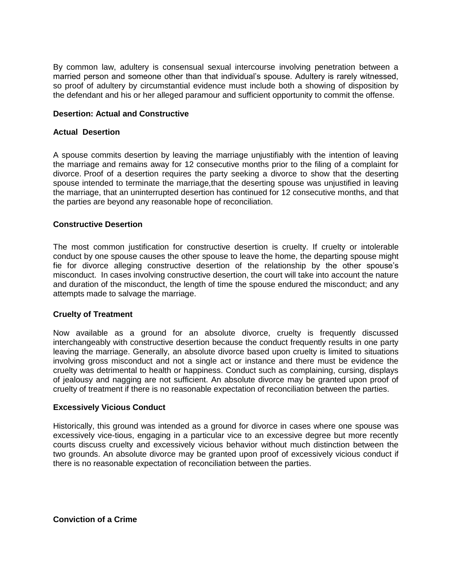By common law, adultery is consensual sexual intercourse involving penetration between a married person and someone other than that individual's spouse. Adultery is rarely witnessed, so proof of adultery by circumstantial evidence must include both a showing of disposition by the defendant and his or her alleged paramour and sufficient opportunity to commit the offense.

## **Desertion: Actual and Constructive**

## **Actual Desertion**

A spouse commits desertion by leaving the marriage unjustifiably with the intention of leaving the marriage and remains away for 12 consecutive months prior to the filing of a complaint for divorce. Proof of a desertion requires the party seeking a divorce to show that the deserting spouse intended to terminate the marriage, that the deserting spouse was unjustified in leaving the marriage, that an uninterrupted desertion has continued for 12 consecutive months, and that the parties are beyond any reasonable hope of reconciliation.

#### **Constructive Desertion**

The most common justification for constructive desertion is cruelty. If cruelty or intolerable conduct by one spouse causes the other spouse to leave the home, the departing spouse might fie for divorce alleging constructive desertion of the relationship by the other spouse's misconduct. In cases involving constructive desertion, the court will take into account the nature and duration of the misconduct, the length of time the spouse endured the misconduct; and any attempts made to salvage the marriage.

#### **Cruelty of Treatment**

Now available as a ground for an absolute divorce, cruelty is frequently discussed interchangeably with constructive desertion because the conduct frequently results in one party leaving the marriage. Generally, an absolute divorce based upon cruelty is limited to situations involving gross misconduct and not a single act or instance and there must be evidence the cruelty was detrimental to health or happiness. Conduct such as complaining, cursing, displays of jealousy and nagging are not sufficient. An absolute divorce may be granted upon proof of cruelty of treatment if there is no reasonable expectation of reconciliation between the parties.

#### **Excessively Vicious Conduct**

Historically, this ground was intended as a ground for divorce in cases where one spouse was excessively vice-tious, engaging in a particular vice to an excessive degree but more recently courts discuss cruelty and excessively vicious behavior without much distinction between the two grounds. An absolute divorce may be granted upon proof of excessively vicious conduct if there is no reasonable expectation of reconciliation between the parties.